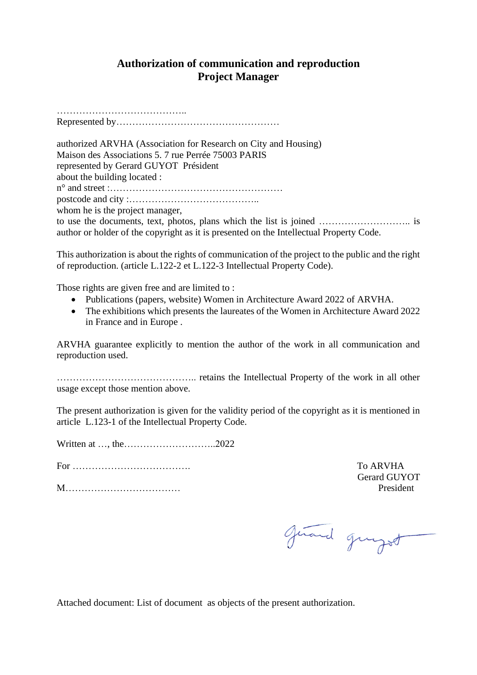## **Authorization of communication and reproduction Project Manager**

………………………………….. Represented by……………………………………………

authorized ARVHA (Association for Research on City and Housing) Maison des Associations 5. 7 rue Perrée 75003 PARIS represented by Gerard GUYOT Président about the building located : n° and street :……………………………………………… postcode and city :………………………………….. whom he is the project manager,

to use the documents, text, photos, plans which the list is joined ……………………….. is author or holder of the copyright as it is presented on the Intellectual Property Code.

This authorization is about the rights of communication of the project to the public and the right of reproduction. (article L.122-2 et L.122-3 Intellectual Property Code).

Those rights are given free and are limited to :

- Publications (papers, website) Women in Architecture Award 2022 of ARVHA.
- The exhibitions which presents the laureates of the Women in Architecture Award 2022 in France and in Europe .

ARVHA guarantee explicitly to mention the author of the work in all communication and reproduction used.

…………………………………….. retains the Intellectual Property of the work in all other usage except those mention above.

The present authorization is given for the validity period of the copyright as it is mentioned in article L.123-1 of the Intellectual Property Code.

Written at …, the………………………..2022

For ………………………………. To ARVHA

M……………………………… President

Gerard GUYOT

givend grugot

Attached document: List of document as objects of the present authorization.